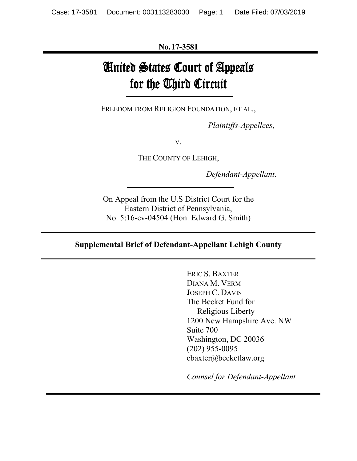**No.17-3581**

# United States Court of Appeals for the Third Circuit

FREEDOM FROM RELIGION FOUNDATION, ET AL.,

*Plaintiffs-Appellees*,

V.

THE COUNTY OF LEHIGH,

*Defendant-Appellant*.

On Appeal from the U.S District Court for the Eastern District of Pennsylvania, No. 5:16-cv-04504 (Hon. Edward G. Smith)

#### **Supplemental Brief of Defendant-Appellant Lehigh County**

ERIC S. BAXTER DIANA M. VERM JOSEPH C. DAVIS The Becket Fund for Religious Liberty 1200 New Hampshire Ave. NW Suite 700 Washington, DC 20036 (202) 955-0095 ebaxter@becketlaw.org

*Counsel for Defendant-Appellant*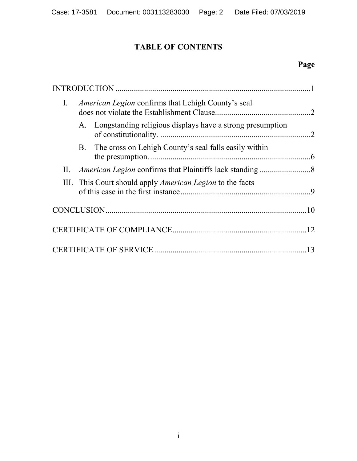# **TABLE OF CONTENTS**

# **Page**

| Ι. | <i>American Legion</i> confirms that Lehigh County's seal |                                                                  |  |
|----|-----------------------------------------------------------|------------------------------------------------------------------|--|
|    |                                                           | A. Longstanding religious displays have a strong presumption     |  |
|    | <b>B.</b>                                                 | The cross on Lehigh County's seal falls easily within            |  |
| П. |                                                           |                                                                  |  |
|    |                                                           | III. This Court should apply <i>American Legion</i> to the facts |  |
|    |                                                           |                                                                  |  |
|    |                                                           |                                                                  |  |
|    |                                                           |                                                                  |  |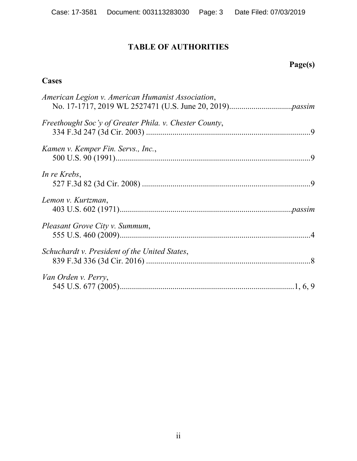## **TABLE OF AUTHORITIES**

# **Page(s)**

## **Cases**

| American Legion v. American Humanist Association,      |  |
|--------------------------------------------------------|--|
| Freethought Soc'y of Greater Phila. v. Chester County, |  |
| Kamen v. Kemper Fin. Servs., Inc.,                     |  |
| In re Krebs,                                           |  |
| Lemon v. Kurtzman,                                     |  |
| Pleasant Grove City v. Summum,                         |  |
| Schuchardt v. President of the United States,          |  |
| Van Orden v. Perry,                                    |  |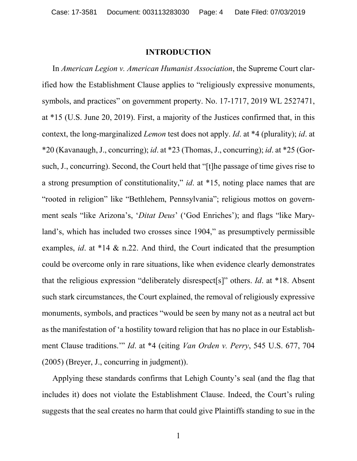#### **INTRODUCTION**

In *American Legion v. American Humanist Association*, the Supreme Court clarified how the Establishment Clause applies to "religiously expressive monuments, symbols, and practices" on government property. No. 17-1717, 2019 WL 2527471, at \*15 (U.S. June 20, 2019). First, a majority of the Justices confirmed that, in this context, the long-marginalized *Lemon* test does not apply. *Id*. at \*4 (plurality); *id*. at \*20 (Kavanaugh, J., concurring); *id*. at \*23 (Thomas, J., concurring); *id*. at \*25 (Gorsuch, J., concurring). Second, the Court held that "[t]he passage of time gives rise to a strong presumption of constitutionality," *id*. at \*15, noting place names that are "rooted in religion" like "Bethlehem, Pennsylvania"; religious mottos on government seals "like Arizona's, '*Ditat Deus*' ('God Enriches'); and flags "like Maryland's, which has included two crosses since 1904," as presumptively permissible examples, *id*. at \*14 & n.22. And third, the Court indicated that the presumption could be overcome only in rare situations, like when evidence clearly demonstrates that the religious expression "deliberately disrespect[s]" others. *Id*. at \*18. Absent such stark circumstances, the Court explained, the removal of religiously expressive monuments, symbols, and practices "would be seen by many not as a neutral act but as the manifestation of 'a hostility toward religion that has no place in our Establishment Clause traditions.'" *Id*. at \*4 (citing *Van Orden v. Perry*, 545 U.S. 677, 704 (2005) (Breyer, J., concurring in judgment)).

Applying these standards confirms that Lehigh County's seal (and the flag that includes it) does not violate the Establishment Clause. Indeed, the Court's ruling suggests that the seal creates no harm that could give Plaintiffs standing to sue in the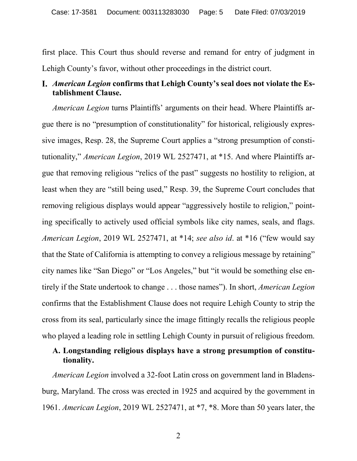first place. This Court thus should reverse and remand for entry of judgment in Lehigh County's favor, without other proceedings in the district court.

### *American Legion* **confirms that Lehigh County's seal does not violate the Establishment Clause.**

*American Legion* turns Plaintiffs' arguments on their head. Where Plaintiffs argue there is no "presumption of constitutionality" for historical, religiously expressive images, Resp. 28, the Supreme Court applies a "strong presumption of constitutionality," *American Legion*, 2019 WL 2527471, at \*15. And where Plaintiffs argue that removing religious "relics of the past" suggests no hostility to religion, at least when they are "still being used," Resp. 39, the Supreme Court concludes that removing religious displays would appear "aggressively hostile to religion," pointing specifically to actively used official symbols like city names, seals, and flags. *American Legion*, 2019 WL 2527471, at \*14; *see also id*. at \*16 ("few would say that the State of California is attempting to convey a religious message by retaining" city names like "San Diego" or "Los Angeles," but "it would be something else entirely if the State undertook to change . . . those names"). In short, *American Legion* confirms that the Establishment Clause does not require Lehigh County to strip the cross from its seal, particularly since the image fittingly recalls the religious people who played a leading role in settling Lehigh County in pursuit of religious freedom.

#### **A. Longstanding religious displays have a strong presumption of constitutionality.**

*American Legion* involved a 32-foot Latin cross on government land in Bladensburg, Maryland. The cross was erected in 1925 and acquired by the government in 1961. *American Legion*, 2019 WL 2527471, at \*7, \*8. More than 50 years later, the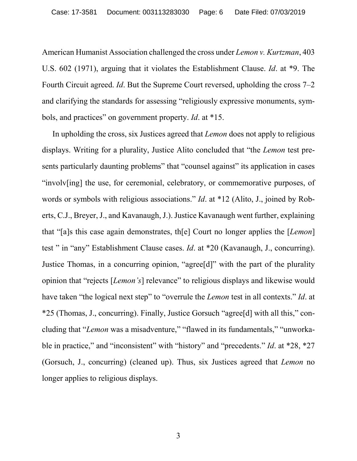American Humanist Association challenged the cross under *Lemon v. Kurtzman*, 403 U.S. 602 (1971), arguing that it violates the Establishment Clause. *Id*. at \*9. The Fourth Circuit agreed. *Id*. But the Supreme Court reversed, upholding the cross 7–2 and clarifying the standards for assessing "religiously expressive monuments, symbols, and practices" on government property. *Id*. at \*15.

In upholding the cross, six Justices agreed that *Lemon* does not apply to religious displays. Writing for a plurality, Justice Alito concluded that "the *Lemon* test presents particularly daunting problems" that "counsel against" its application in cases "involv[ing] the use, for ceremonial, celebratory, or commemorative purposes, of words or symbols with religious associations." *Id*. at \*12 (Alito, J., joined by Roberts, C.J., Breyer, J., and Kavanaugh, J.). Justice Kavanaugh went further, explaining that "[a]s this case again demonstrates, th[e] Court no longer applies the [*Lemon*] test " in "any" Establishment Clause cases. *Id*. at \*20 (Kavanaugh, J., concurring). Justice Thomas, in a concurring opinion, "agree[d]" with the part of the plurality opinion that "rejects [*Lemon's*] relevance" to religious displays and likewise would have taken "the logical next step" to "overrule the *Lemon* test in all contexts." *Id*. at \*25 (Thomas, J., concurring). Finally, Justice Gorsuch "agree[d] with all this," concluding that "*Lemon* was a misadventure," "flawed in its fundamentals," "unworkable in practice," and "inconsistent" with "history" and "precedents." *Id*. at \*28, \*27 (Gorsuch, J., concurring) (cleaned up). Thus, six Justices agreed that *Lemon* no longer applies to religious displays.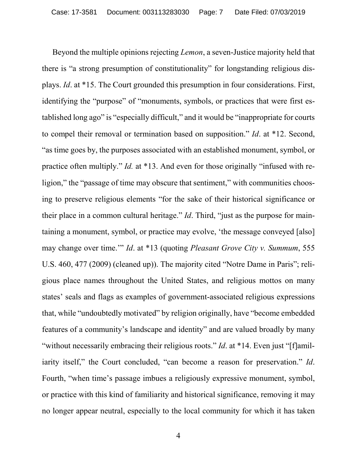Beyond the multiple opinions rejecting *Lemon*, a seven-Justice majority held that there is "a strong presumption of constitutionality" for longstanding religious displays. *Id*. at \*15. The Court grounded this presumption in four considerations. First, identifying the "purpose" of "monuments, symbols, or practices that were first established long ago" is "especially difficult," and it would be "inappropriate for courts to compel their removal or termination based on supposition." *Id*. at \*12. Second, "as time goes by, the purposes associated with an established monument, symbol, or practice often multiply." *Id.* at \*13. And even for those originally "infused with religion," the "passage of time may obscure that sentiment," with communities choosing to preserve religious elements "for the sake of their historical significance or their place in a common cultural heritage." *Id*. Third, "just as the purpose for maintaining a monument, symbol, or practice may evolve, 'the message conveyed [also] may change over time.'" *Id*. at \*13 (quoting *Pleasant Grove City v. Summum*, 555 U.S. 460, 477 (2009) (cleaned up)). The majority cited "Notre Dame in Paris"; religious place names throughout the United States, and religious mottos on many states' seals and flags as examples of government-associated religious expressions that, while "undoubtedly motivated" by religion originally, have "become embedded features of a community's landscape and identity" and are valued broadly by many "without necessarily embracing their religious roots." *Id.* at \*14. Even just "[f]amiliarity itself," the Court concluded, "can become a reason for preservation." *Id*. Fourth, "when time's passage imbues a religiously expressive monument, symbol, or practice with this kind of familiarity and historical significance, removing it may no longer appear neutral, especially to the local community for which it has taken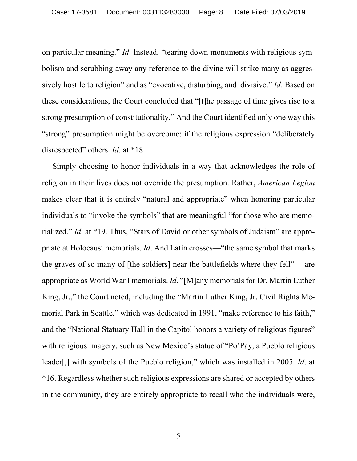on particular meaning." *Id*. Instead, "tearing down monuments with religious symbolism and scrubbing away any reference to the divine will strike many as aggressively hostile to religion" and as "evocative, disturbing, and divisive." *Id*. Based on these considerations, the Court concluded that "[t]he passage of time gives rise to a strong presumption of constitutionality." And the Court identified only one way this "strong" presumption might be overcome: if the religious expression "deliberately disrespected" others. *Id.* at \*18.

Simply choosing to honor individuals in a way that acknowledges the role of religion in their lives does not override the presumption. Rather, *American Legion*  makes clear that it is entirely "natural and appropriate" when honoring particular individuals to "invoke the symbols" that are meaningful "for those who are memorialized." *Id*. at \*19. Thus, "Stars of David or other symbols of Judaism" are appropriate at Holocaust memorials. *Id*. And Latin crosses—"the same symbol that marks the graves of so many of [the soldiers] near the battlefields where they fell"— are appropriate as World War I memorials. *Id*. "[M]any memorials for Dr. Martin Luther King, Jr.," the Court noted, including the "Martin Luther King, Jr. Civil Rights Memorial Park in Seattle," which was dedicated in 1991, "make reference to his faith," and the "National Statuary Hall in the Capitol honors a variety of religious figures" with religious imagery, such as New Mexico's statue of "Po'Pay, a Pueblo religious leader[,] with symbols of the Pueblo religion," which was installed in 2005. *Id*. at \*16. Regardless whether such religious expressions are shared or accepted by others in the community, they are entirely appropriate to recall who the individuals were,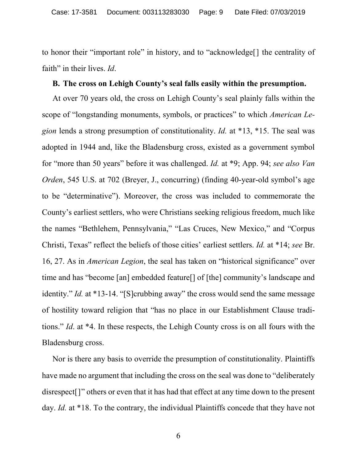to honor their "important role" in history, and to "acknowledge[] the centrality of faith" in their lives. *Id*.

#### **B. The cross on Lehigh County's seal falls easily within the presumption.**

At over 70 years old, the cross on Lehigh County's seal plainly falls within the scope of "longstanding monuments, symbols, or practices" to which *American Legion* lends a strong presumption of constitutionality. *Id.* at \*13, \*15. The seal was adopted in 1944 and, like the Bladensburg cross, existed as a government symbol for "more than 50 years" before it was challenged. *Id.* at \*9; App. 94; *see also Van Orden*, 545 U.S. at 702 (Breyer, J., concurring) (finding 40-year-old symbol's age to be "determinative"). Moreover, the cross was included to commemorate the County's earliest settlers, who were Christians seeking religious freedom, much like the names "Bethlehem, Pennsylvania," "Las Cruces, New Mexico," and "Corpus Christi, Texas" reflect the beliefs of those cities' earliest settlers. *Id.* at \*14; *see* Br. 16, 27. As in *American Legion*, the seal has taken on "historical significance" over time and has "become [an] embedded feature[] of [the] community's landscape and identity." *Id.* at \*13-14. "[S]crubbing away" the cross would send the same message of hostility toward religion that "has no place in our Establishment Clause traditions." *Id*. at \*4. In these respects, the Lehigh County cross is on all fours with the Bladensburg cross.

Nor is there any basis to override the presumption of constitutionality. Plaintiffs have made no argument that including the cross on the seal was done to "deliberately disrespect[]" others or even that it has had that effect at any time down to the present day. *Id.* at \*18. To the contrary, the individual Plaintiffs concede that they have not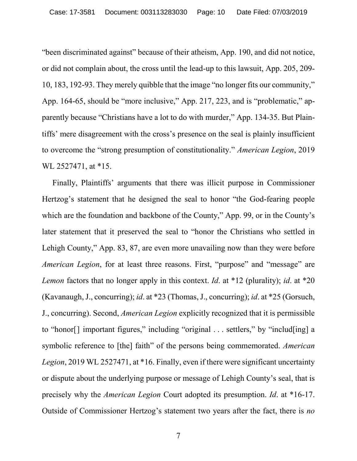"been discriminated against" because of their atheism, App. 190, and did not notice, or did not complain about, the cross until the lead-up to this lawsuit, App. 205, 209- 10, 183, 192-93. They merely quibble that the image "no longer fits our community," App. 164-65, should be "more inclusive," App. 217, 223, and is "problematic," apparently because "Christians have a lot to do with murder," App. 134-35. But Plaintiffs' mere disagreement with the cross's presence on the seal is plainly insufficient to overcome the "strong presumption of constitutionality." *American Legion*, 2019 WL 2527471, at \*15.

Finally, Plaintiffs' arguments that there was illicit purpose in Commissioner Hertzog's statement that he designed the seal to honor "the God-fearing people which are the foundation and backbone of the County," App. 99, or in the County's later statement that it preserved the seal to "honor the Christians who settled in Lehigh County," App. 83, 87, are even more unavailing now than they were before *American Legion*, for at least three reasons. First, "purpose" and "message" are *Lemon* factors that no longer apply in this context. *Id*. at \*12 (plurality); *id*. at \*20 (Kavanaugh, J., concurring); *id*. at \*23 (Thomas, J., concurring); *id*. at \*25 (Gorsuch, J., concurring). Second, *American Legion* explicitly recognized that it is permissible to "honor[] important figures," including "original . . . settlers," by "includ[ing] a symbolic reference to [the] faith" of the persons being commemorated. *American Legion*, 2019 WL 2527471, at \*16. Finally, even if there were significant uncertainty or dispute about the underlying purpose or message of Lehigh County's seal, that is precisely why the *American Legion* Court adopted its presumption. *Id*. at \*16-17. Outside of Commissioner Hertzog's statement two years after the fact, there is *no*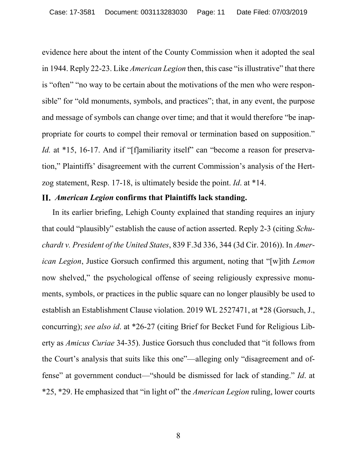evidence here about the intent of the County Commission when it adopted the seal in 1944. Reply 22-23. Like *American Legion* then, this case "is illustrative" that there is "often" "no way to be certain about the motivations of the men who were responsible" for "old monuments, symbols, and practices"; that, in any event, the purpose and message of symbols can change over time; and that it would therefore "be inappropriate for courts to compel their removal or termination based on supposition." *Id.* at \*15, 16-17. And if "[f]amiliarity itself" can "become a reason for preservation," Plaintiffs' disagreement with the current Commission's analysis of the Hertzog statement, Resp. 17-18, is ultimately beside the point. *Id*. at \*14.

#### *American Legion* **confirms that Plaintiffs lack standing.**

In its earlier briefing, Lehigh County explained that standing requires an injury that could "plausibly" establish the cause of action asserted. Reply 2-3 (citing *Schuchardt v. President of the United States*, 839 F.3d 336, 344 (3d Cir. 2016)). In *American Legion*, Justice Gorsuch confirmed this argument, noting that "[w]ith *Lemon*  now shelved," the psychological offense of seeing religiously expressive monuments, symbols, or practices in the public square can no longer plausibly be used to establish an Establishment Clause violation. 2019 WL 2527471, at \*28 (Gorsuch, J., concurring); *see also id*. at \*26-27 (citing Brief for Becket Fund for Religious Liberty as *Amicus Curiae* 34-35). Justice Gorsuch thus concluded that "it follows from the Court's analysis that suits like this one"—alleging only "disagreement and offense" at government conduct—"should be dismissed for lack of standing." *Id*. at \*25, \*29. He emphasized that "in light of" the *American Legion* ruling, lower courts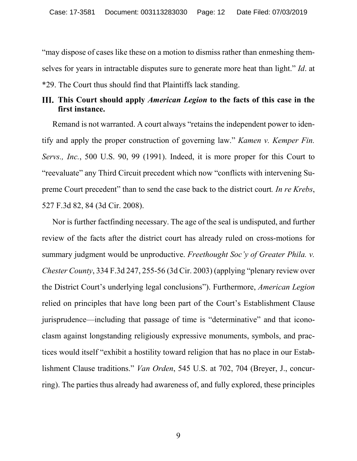"may dispose of cases like these on a motion to dismiss rather than enmeshing themselves for years in intractable disputes sure to generate more heat than light." *Id*. at \*29. The Court thus should find that Plaintiffs lack standing.

#### **This Court should apply** *American Legion* **to the facts of this case in the first instance.**

Remand is not warranted. A court always "retains the independent power to identify and apply the proper construction of governing law." *Kamen v. Kemper Fin. Servs., Inc.*, 500 U.S. 90, 99 (1991). Indeed, it is more proper for this Court to "reevaluate" any Third Circuit precedent which now "conflicts with intervening Supreme Court precedent" than to send the case back to the district court*. In re Krebs*, 527 F.3d 82, 84 (3d Cir. 2008).

Nor is further factfinding necessary. The age of the seal is undisputed, and further review of the facts after the district court has already ruled on cross-motions for summary judgment would be unproductive. *Freethought Soc'y of Greater Phila. v. Chester County*, 334 F.3d 247, 255-56 (3d Cir. 2003) (applying "plenary review over the District Court's underlying legal conclusions"). Furthermore, *American Legion*  relied on principles that have long been part of the Court's Establishment Clause jurisprudence—including that passage of time is "determinative" and that iconoclasm against longstanding religiously expressive monuments, symbols, and practices would itself "exhibit a hostility toward religion that has no place in our Establishment Clause traditions." *Van Orden*, 545 U.S. at 702, 704 (Breyer, J., concurring). The parties thus already had awareness of, and fully explored, these principles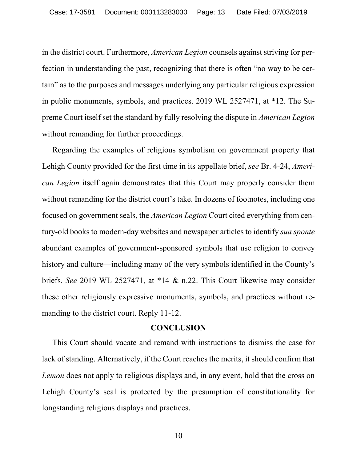in the district court. Furthermore, *American Legion* counsels against striving for perfection in understanding the past, recognizing that there is often "no way to be certain" as to the purposes and messages underlying any particular religious expression in public monuments, symbols, and practices. 2019 WL 2527471, at \*12. The Supreme Court itself set the standard by fully resolving the dispute in *American Legion* without remanding for further proceedings.

Regarding the examples of religious symbolism on government property that Lehigh County provided for the first time in its appellate brief, *see* Br. 4-24, *American Legion* itself again demonstrates that this Court may properly consider them without remanding for the district court's take. In dozens of footnotes, including one focused on government seals, the *American Legion* Court cited everything from century-old books to modern-day websites and newspaper articles to identify *sua sponte*  abundant examples of government-sponsored symbols that use religion to convey history and culture—including many of the very symbols identified in the County's briefs. *See* 2019 WL 2527471, at \*14 & n.22. This Court likewise may consider these other religiously expressive monuments, symbols, and practices without remanding to the district court. Reply 11-12.

#### **CONCLUSION**

This Court should vacate and remand with instructions to dismiss the case for lack of standing. Alternatively, if the Court reaches the merits, it should confirm that *Lemon* does not apply to religious displays and, in any event, hold that the cross on Lehigh County's seal is protected by the presumption of constitutionality for longstanding religious displays and practices.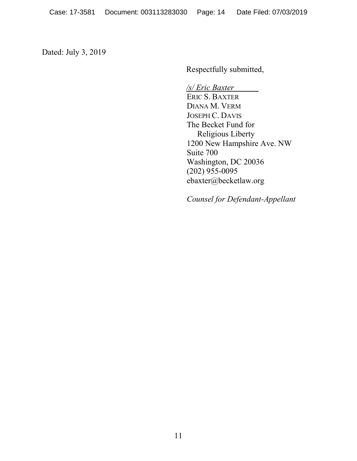Dated: July 3, 2019

Respectfully submitted,

*/s/ Eric Baxter*   $\mathcal{L}_{\text{max}}$ ERIC S. BAXTER DIANA M. VERM JOSEPH C. DAVIS The Becket Fund for Religious Liberty 1200 New Hampshire Ave. NW Suite 700 Washington, DC 20036 (202) 955-0095 ebaxter@becketlaw.org

*Counsel for Defendant-Appellant*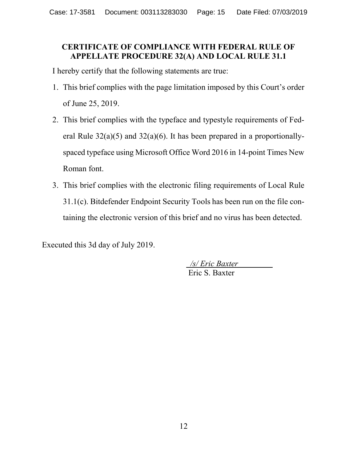## **CERTIFICATE OF COMPLIANCE WITH FEDERAL RULE OF APPELLATE PROCEDURE 32(A) AND LOCAL RULE 31.1**

I hereby certify that the following statements are true:

- 1. This brief complies with the page limitation imposed by this Court's order of June 25, 2019.
- 2. This brief complies with the typeface and typestyle requirements of Federal Rule  $32(a)(5)$  and  $32(a)(6)$ . It has been prepared in a proportionallyspaced typeface using Microsoft Office Word 2016 in 14-point Times New Roman font.
- 3. This brief complies with the electronic filing requirements of Local Rule 31.1(c). Bitdefender Endpoint Security Tools has been run on the file containing the electronic version of this brief and no virus has been detected.

Executed this 3d day of July 2019.

 */s/ Eric Baxter*  Eric S. Baxter